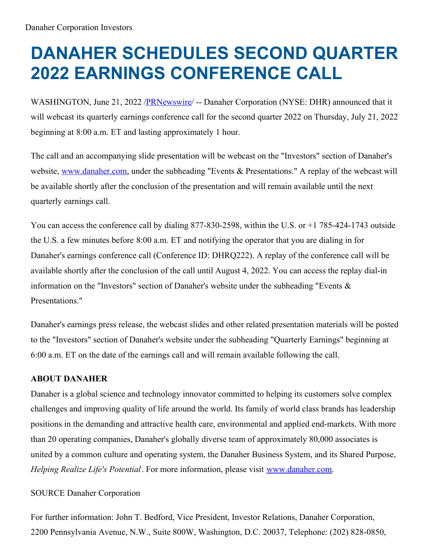## **DANAHER SCHEDULES SECOND QUARTER 2022 EARNINGS CONFERENCE CALL**

WASHINGTON, June 21, 2022 [/PRNewswire](http://www.prnewswire.com/)/ -- Danaher Corporation (NYSE: DHR) announced that it will webcast its quarterly earnings conference call for the second quarter 2022 on Thursday, July 21, 2022 beginning at 8:00 a.m. ET and lasting approximately 1 hour.

The call and an accompanying slide presentation will be webcast on the "Investors" section of Danaher's website, [www.danaher.com](http://www.danaher.com), under the subheading "Events & Presentations." A replay of the webcast will be available shortly after the conclusion of the presentation and will remain available until the next quarterly earnings call.

You can access the conference call by dialing 877-830-2598, within the U.S. or +1 785-424-1743 outside the U.S. a few minutes before 8:00 a.m. ET and notifying the operator that you are dialing in for Danaher's earnings conference call (Conference ID: DHRQ222). A replay of the conference call will be available shortly after the conclusion of the call until August 4, 2022. You can access the replay dial-in information on the "Investors" section of Danaher's website under the subheading "Events & Presentations."

Danaher's earnings press release, the webcast slides and other related presentation materials will be posted to the "Investors" section of Danaher's website under the subheading "Quarterly Earnings" beginning at 6:00 a.m. ET on the date of the earnings call and will remain available following the call.

## **ABOUT DANAHER**

Danaher is a global science and technology innovator committed to helping its customers solve complex challenges and improving quality of life around the world. Its family of world class brands has leadership positions in the demanding and attractive health care, environmental and applied end-markets. With more than 20 operating companies, Danaher's globally diverse team of approximately 80,000 associates is united by a common culture and operating system, the Danaher Business System, and its Shared Purpose, *Helping Realize Life's Potential*. For more information, please visit [www.danaher.com](http://www.danaher.com).

## SOURCE Danaher Corporation

For further information: John T. Bedford, Vice President, Investor Relations, Danaher Corporation, 2200 Pennsylvania Avenue, N.W., Suite 800W, Washington, D.C. 20037, Telephone: (202) 828-0850,